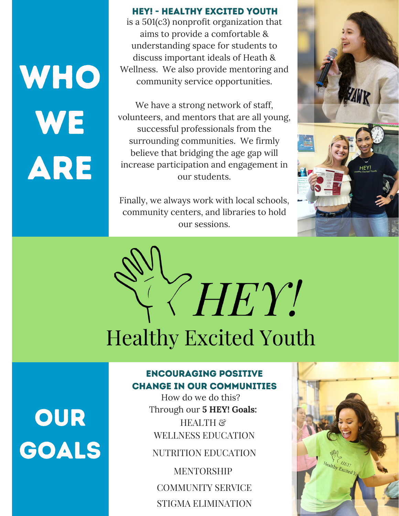WHO WE ARE

#### **HEY! - HEALTHY EXCITED YOUTH**

is a 501(c3) nonprofit organization that aims to provide a comfortable & understanding space for students to discuss important ideals of Heath & Wellness. We also provide mentoring and community service opportunities.

We have a strong network of staff, volunteers, and mentors that are all young, successful professionals from the surrounding communities. We firmly believe that bridging the age gap will increase participation and engagement in our students.

Finally, we always work with local schools, community centers, and libraries to hold our sessions.





#### **ENCOURAGING POSITIVE CHANGE IN OUR COMMUNITIES**

How do we do this? Through our **5 HEY! Goals:** HEALTH &

WELLNESS EDUCATION

NUTRITION EDUCATION

COMMUNITY SERVICE **MENTORSHIP** STIGMA ELIMINATION



## OUR GOALS